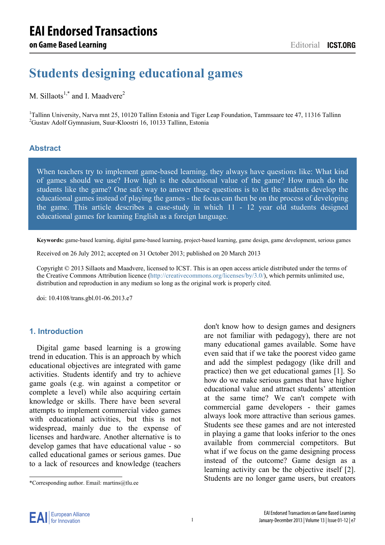# **Students designing educational games**

# M. Sillaots<sup>1,\*</sup> and I. Maadvere<sup>2</sup>

<sup>1</sup>Tallinn University, Narva mnt 25, 10120 Tallinn Estonia and Tiger Leap Foundation, Tammsaare tee 47, 11316 Tallinn  $^{2}$ Custav Adolf Gymnasium, Suur Kloostri 16, 10133 Tallinn, Estonia <sup>2</sup>Gustav Adolf Gymnasium, Suur-Kloostri 16, 10133 Tallinn, Estonia

#### **Abstract**

When teachers try to implement game-based learning, they always have questions like: What kind of games should we use? How high is the educational value of the game? How much do the students like the game? One safe way to answer these questions is to let the students develop the educational games instead of playing the games - the focus can then be on the process of developing the game. This article describes a case-study in which 11 - 12 year old students designed educational games for learning English as a foreign language.

**Keywords:** game-based learning, digital game-based learning, project-based learning, game design, game development, serious games

Received on 26 July 2012; accepted on 31 October 2013; published on 20 March 2013

Copyright © 2013 Sillaots and Maadvere, licensed to ICST. This is an open access article distributed under the terms of the Creative Commons Attribution licence (http://creativecommons.org/licenses/by/3.0/), which permits unlimited use, distribution and reproduction in any medium so long as the original work is properly cited.

doi: 10.4108/trans.gbl.01-06.2013.e7

#### **1. Introduction**

Digital game based learning is a growing trend in education. This is an approach by which educational objectives are integrated with game activities. Students identify and try to achieve game goals (e.g. win against a competitor or complete a level) while also acquiring certain knowledge or skills. There have been several attempts to implement commercial video games with educational activities, but this is not widespread, mainly due to the expense of licenses and hardware. Another alternative is to develop games that have educational value - so called educational games or serious games. Due to a lack of resources and knowledge (teachers

don't know how to design games and designers are not familiar with pedagogy), there are not many educational games available. Some have even said that if we take the poorest video game and add the simplest pedagogy (like drill and practice) then we get educational games [1]. So how do we make serious games that have higher educational value and attract students' attention at the same time? We can't compete with commercial game developers - their games always look more attractive than serious games. Students see these games and are not interested in playing a game that looks inferior to the ones available from commercial competitors. But what if we focus on the game designing process instead of the outcome? Game design as a learning activity can be the objective itself [2]. Students are no longer game users, but creators



-

<sup>\*</sup>Corresponding author. Email: martins@tlu.ee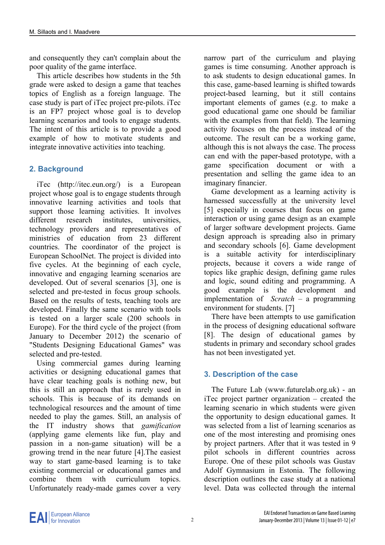and consequently they can't complain about the poor quality of the game interface.

This article describes how students in the 5th grade were asked to design a game that teaches topics of English as a foreign language. The case study is part of iTec project pre-pilots. iTec is an FP7 project whose goal is to develop learning scenarios and tools to engage students. The intent of this article is to provide a good example of how to motivate students and integrate innovative activities into teaching.

# **2. Background**

iTec (http://itec.eun.org/) is a European project whose goal is to engage students through innovative learning activities and tools that support those learning activities. It involves different research institutes, universities, technology providers and representatives of ministries of education from 23 different countries. The coordinator of the project is European SchoolNet. The project is divided into five cycles. At the beginning of each cycle, innovative and engaging learning scenarios are developed. Out of several scenarios [3], one is selected and pre-tested in focus group schools. Based on the results of tests, teaching tools are developed. Finally the same scenario with tools is tested on a larger scale (200 schools in Europe). For the third cycle of the project (from January to December 2012) the scenario of "Students Designing Educational Games" was selected and pre-tested.

Using commercial games during learning activities or designing educational games that have clear teaching goals is nothing new, but this is still an approach that is rarely used in schools. This is because of its demands on technological resources and the amount of time needed to play the games. Still, an analysis of the IT industry shows that *gamification* (applying game elements like fun, play and passion in a non-game situation) will be a growing trend in the near future [4].The easiest way to start game-based learning is to take existing commercial or educational games and combine them with curriculum topics. Unfortunately ready-made games cover a very

narrow part of the curriculum and playing games is time consuming. Another approach is to ask students to design educational games. In this case, game-based learning is shifted towards project-based learning, but it still contains important elements of games (e.g. to make a good educational game one should be familiar with the examples from that field). The learning activity focuses on the process instead of the outcome. The result can be a working game, although this is not always the case. The process can end with the paper-based prototype, with a game specification document or with a presentation and selling the game idea to an imaginary financier.

Game development as a learning activity is harnessed successfully at the university level [5] especially in courses that focus on game interaction or using game design as an example of larger software development projects. Game design approach is spreading also in primary and secondary schools [6]. Game development is a suitable activity for interdisciplinary projects, because it covers a wide range of topics like graphic design, defining game rules and logic, sound editing and programming. A good example is the development and implementation of *Scratch* – a programming environment for students. [7]

There have been attempts to use gamification in the process of designing educational software [8]. The design of educational games by students in primary and secondary school grades has not been investigated yet.

# **3. Description of the case**

The Future Lab (www.futurelab.org.uk) - an iTec project partner organization – created the learning scenario in which students were given the opportunity to design educational games. It was selected from a list of learning scenarios as one of the most interesting and promising ones by project partners. After that it was tested in 9 pilot schools in different countries across Europe. One of these pilot schools was Gustav Adolf Gymnasium in Estonia. The following description outlines the case study at a national level. Data was collected through the internal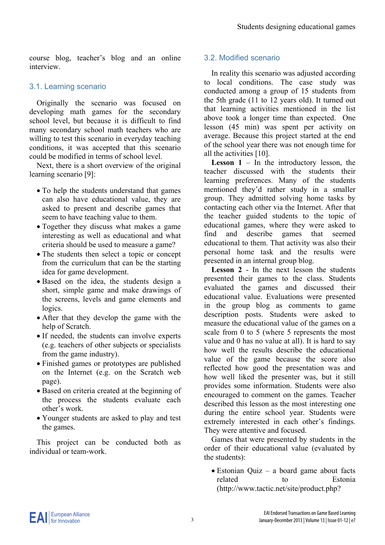course blog, teacher's blog and an online interview.

# 3.1. Learning scenario

Originally the scenario was focused on developing math games for the secondary school level, but because it is difficult to find many secondary school math teachers who are willing to test this scenario in everyday teaching conditions, it was accepted that this scenario could be modified in terms of school level.

Next, there is a short overview of the original learning scenario [9]:

- To help the students understand that games can also have educational value, they are asked to present and describe games that seem to have teaching value to them.
- Together they discuss what makes a game interesting as well as educational and what criteria should be used to measure a game?
- The students then select a topic or concept from the curriculum that can be the starting idea for game development.
- Based on the idea, the students design a short, simple game and make drawings of the screens, levels and game elements and logics.
- After that they develop the game with the help of Scratch.
- If needed, the students can involve experts (e.g. teachers of other subjects or specialists from the game industry).
- Finished games or prototypes are published on the Internet (e.g. on the Scratch web page).
- Based on criteria created at the beginning of the process the students evaluate each other's work.
- Younger students are asked to play and test the games.

This project can be conducted both as individual or team-work.

# 3.2. Modified scenario

In reality this scenario was adjusted according to local conditions. The case study was conducted among a group of 15 students from the 5th grade (11 to 12 years old). It turned out that learning activities mentioned in the list above took a longer time than expected. One lesson (45 min) was spent per activity on average. Because this project started at the end of the school year there was not enough time for all the activities [10].

**Lesson 1** – In the introductory lesson, the teacher discussed with the students their learning preferences. Many of the students mentioned they'd rather study in a smaller group. They admitted solving home tasks by contacting each other via the Internet. After that the teacher guided students to the topic of educational games, where they were asked to find and describe games that seemed educational to them. That activity was also their personal home task and the results were presented in an internal group blog.

**Lesson 2** - In the next lesson the students presented their games to the class. Students evaluated the games and discussed their educational value. Evaluations were presented in the group blog as comments to game description posts. Students were asked to measure the educational value of the games on a scale from 0 to 5 (where 5 represents the most value and 0 has no value at all). It is hard to say how well the results describe the educational value of the game because the score also reflected how good the presentation was and how well liked the presenter was, but it still provides some information. Students were also encouraged to comment on the games. Teacher described this lesson as the most interesting one during the entire school year. Students were extremely interested in each other's findings. They were attentive and focused.

Games that were presented by students in the order of their educational value (evaluated by the students):

 Estonian Quiz – a board game about facts related to Estonia (http://www.tactic.net/site/product.php?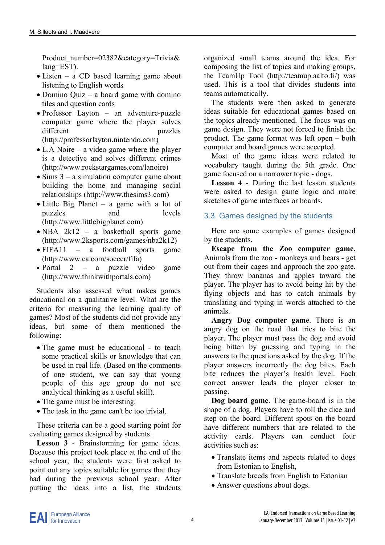Product\_number=02382&category=Trivia& lang=EST).

- Listen a CD based learning game about listening to English words
- Domino Quiz a board game with domino tiles and question cards
- Professor Layton an adventure-puzzle computer game where the player solves different puzzles (http://professorlayton.nintendo.com)
- L.A Noire a video game where the player is a detective and solves different crimes (http://www.rockstargames.com/lanoire)
- $\bullet$  Sims 3 a simulation computer game about building the home and managing social relationships (http://www.thesims3.com)
- Little Big Planet a game with a lot of puzzles and levels (http://www.littlebigplanet.com)
- NBA 2k12 a basketball sports game (http://www.2ksports.com/games/nba2k12)
- FIFA11 a football sports game (http://www.ea.com/soccer/fifa)
- Portal 2 a puzzle video game (http://www.thinkwithportals.com)

Students also assessed what makes games educational on a qualitative level. What are the criteria for measuring the learning quality of games? Most of the students did not provide any ideas, but some of them mentioned the following:

- The game must be educational to teach some practical skills or knowledge that can be used in real life. (Based on the comments of one student, we can say that young people of this age group do not see analytical thinking as a useful skill).
- The game must be interesting.
- The task in the game can't be too trivial.

These criteria can be a good starting point for evaluating games designed by students.

**Lesson 3** - Brainstorming for game ideas. Because this project took place at the end of the school year, the students were first asked to point out any topics suitable for games that they had during the previous school year. After putting the ideas into a list, the students

organized small teams around the idea. For composing the list of topics and making groups, the TeamUp Tool (http://teamup.aalto.fi/) was used. This is a tool that divides students into teams automatically.

The students were then asked to generate ideas suitable for educational games based on the topics already mentioned. The focus was on game design. They were not forced to finish the product. The game format was left open – both computer and board games were accepted.

Most of the game ideas were related to vocabulary taught during the 5th grade. One game focused on a narrower topic - dogs.

**Lesson 4** - During the last lesson students were asked to design game logic and make sketches of game interfaces or boards.

### 3.3. Games designed by the students

Here are some examples of games designed by the students.

**Escape from the Zoo computer game**. Animals from the zoo - monkeys and bears - get out from their cages and approach the zoo gate. They throw bananas and apples toward the player. The player has to avoid being hit by the flying objects and has to catch animals by translating and typing in words attached to the animals.

**Angry Dog computer game**. There is an angry dog on the road that tries to bite the player. The player must pass the dog and avoid being bitten by guessing and typing in the answers to the questions asked by the dog. If the player answers incorrectly the dog bites. Each bite reduces the player's health level. Each correct answer leads the player closer to passing.

**Dog board game**. The game-board is in the shape of a dog. Players have to roll the dice and step on the board. Different spots on the board have different numbers that are related to the activity cards. Players can conduct four activities such as:

- Translate items and aspects related to dogs from Estonian to English,
- Translate breeds from English to Estonian
- Answer questions about dogs.